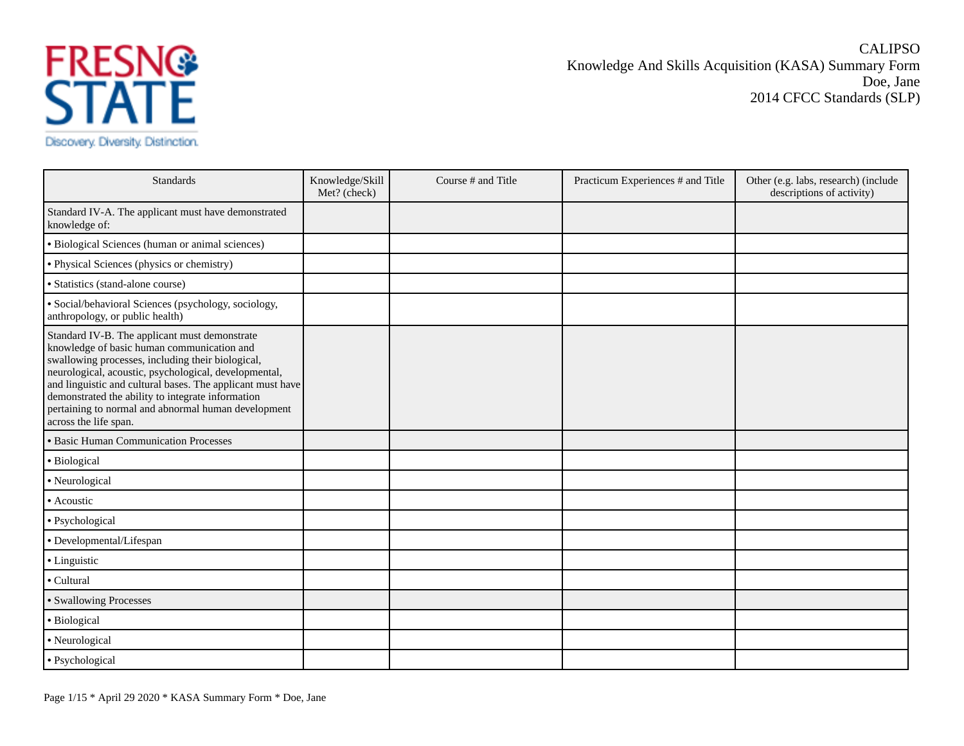

CALIPSO Knowledge And Skills Acquisition (KASA) Summary Form Doe, Jane 2014 CFCC Standards (SLP)

| <b>Standards</b>                                                                                                                                                                                                                                                                                                                                                                                             | Knowledge/Skill<br>Met? (check) | Course # and Title | Practicum Experiences # and Title | Other (e.g. labs, research) (include<br>descriptions of activity) |
|--------------------------------------------------------------------------------------------------------------------------------------------------------------------------------------------------------------------------------------------------------------------------------------------------------------------------------------------------------------------------------------------------------------|---------------------------------|--------------------|-----------------------------------|-------------------------------------------------------------------|
| Standard IV-A. The applicant must have demonstrated<br>knowledge of:                                                                                                                                                                                                                                                                                                                                         |                                 |                    |                                   |                                                                   |
| · Biological Sciences (human or animal sciences)                                                                                                                                                                                                                                                                                                                                                             |                                 |                    |                                   |                                                                   |
| · Physical Sciences (physics or chemistry)                                                                                                                                                                                                                                                                                                                                                                   |                                 |                    |                                   |                                                                   |
| · Statistics (stand-alone course)                                                                                                                                                                                                                                                                                                                                                                            |                                 |                    |                                   |                                                                   |
| · Social/behavioral Sciences (psychology, sociology,<br>anthropology, or public health)                                                                                                                                                                                                                                                                                                                      |                                 |                    |                                   |                                                                   |
| Standard IV-B. The applicant must demonstrate<br>knowledge of basic human communication and<br>swallowing processes, including their biological,<br>neurological, acoustic, psychological, developmental,<br>and linguistic and cultural bases. The applicant must have<br>demonstrated the ability to integrate information<br>pertaining to normal and abnormal human development<br>across the life span. |                                 |                    |                                   |                                                                   |
| · Basic Human Communication Processes                                                                                                                                                                                                                                                                                                                                                                        |                                 |                    |                                   |                                                                   |
| · Biological                                                                                                                                                                                                                                                                                                                                                                                                 |                                 |                    |                                   |                                                                   |
| • Neurological                                                                                                                                                                                                                                                                                                                                                                                               |                                 |                    |                                   |                                                                   |
| • Acoustic                                                                                                                                                                                                                                                                                                                                                                                                   |                                 |                    |                                   |                                                                   |
| · Psychological                                                                                                                                                                                                                                                                                                                                                                                              |                                 |                    |                                   |                                                                   |
| • Developmental/Lifespan                                                                                                                                                                                                                                                                                                                                                                                     |                                 |                    |                                   |                                                                   |
| • Linguistic                                                                                                                                                                                                                                                                                                                                                                                                 |                                 |                    |                                   |                                                                   |
| • Cultural                                                                                                                                                                                                                                                                                                                                                                                                   |                                 |                    |                                   |                                                                   |
| • Swallowing Processes                                                                                                                                                                                                                                                                                                                                                                                       |                                 |                    |                                   |                                                                   |
| · Biological                                                                                                                                                                                                                                                                                                                                                                                                 |                                 |                    |                                   |                                                                   |
| · Neurological                                                                                                                                                                                                                                                                                                                                                                                               |                                 |                    |                                   |                                                                   |
| · Psychological                                                                                                                                                                                                                                                                                                                                                                                              |                                 |                    |                                   |                                                                   |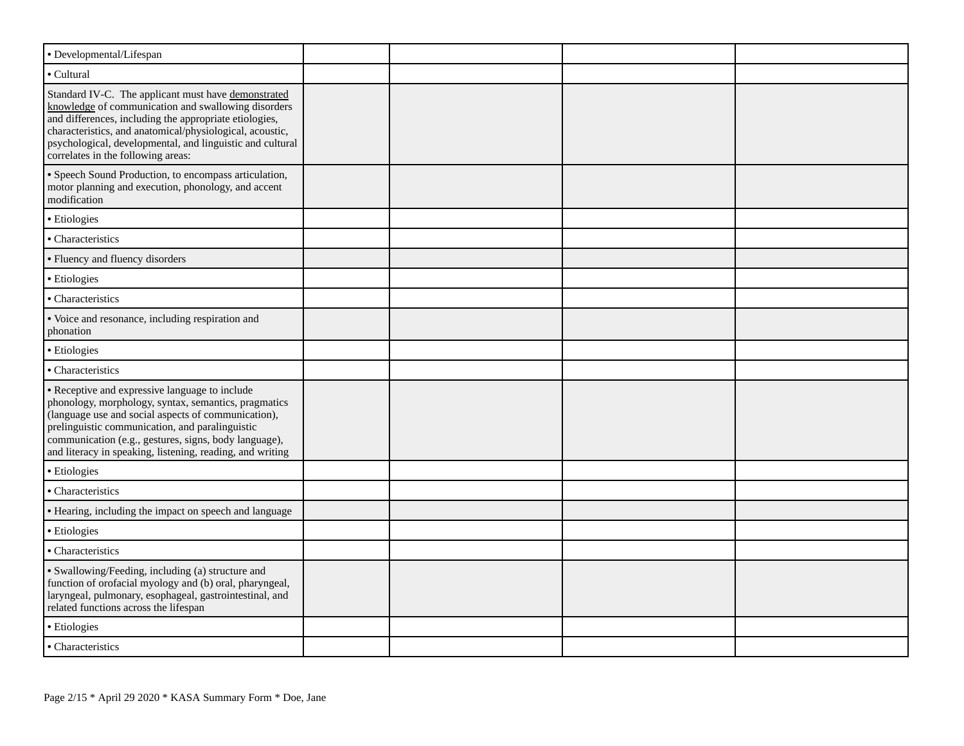| • Developmental/Lifespan                                                                                                                                                                                                                                                                                                               |  |  |
|----------------------------------------------------------------------------------------------------------------------------------------------------------------------------------------------------------------------------------------------------------------------------------------------------------------------------------------|--|--|
| • Cultural                                                                                                                                                                                                                                                                                                                             |  |  |
| Standard IV-C. The applicant must have demonstrated<br>knowledge of communication and swallowing disorders<br>and differences, including the appropriate etiologies,<br>characteristics, and anatomical/physiological, acoustic,<br>psychological, developmental, and linguistic and cultural<br>correlates in the following areas:    |  |  |
| • Speech Sound Production, to encompass articulation,<br>motor planning and execution, phonology, and accent<br>modification                                                                                                                                                                                                           |  |  |
| · Etiologies                                                                                                                                                                                                                                                                                                                           |  |  |
| • Characteristics                                                                                                                                                                                                                                                                                                                      |  |  |
| • Fluency and fluency disorders                                                                                                                                                                                                                                                                                                        |  |  |
| · Etiologies                                                                                                                                                                                                                                                                                                                           |  |  |
| • Characteristics                                                                                                                                                                                                                                                                                                                      |  |  |
| · Voice and resonance, including respiration and<br>phonation                                                                                                                                                                                                                                                                          |  |  |
| · Etiologies                                                                                                                                                                                                                                                                                                                           |  |  |
| • Characteristics                                                                                                                                                                                                                                                                                                                      |  |  |
| • Receptive and expressive language to include<br>phonology, morphology, syntax, semantics, pragmatics<br>(language use and social aspects of communication),<br>prelinguistic communication, and paralinguistic<br>communication (e.g., gestures, signs, body language),<br>and literacy in speaking, listening, reading, and writing |  |  |
| · Etiologies                                                                                                                                                                                                                                                                                                                           |  |  |
| • Characteristics                                                                                                                                                                                                                                                                                                                      |  |  |
| • Hearing, including the impact on speech and language                                                                                                                                                                                                                                                                                 |  |  |
| · Etiologies                                                                                                                                                                                                                                                                                                                           |  |  |
| • Characteristics                                                                                                                                                                                                                                                                                                                      |  |  |
| · Swallowing/Feeding, including (a) structure and<br>function of orofacial myology and (b) oral, pharyngeal,<br>laryngeal, pulmonary, esophageal, gastrointestinal, and<br>related functions across the lifespan                                                                                                                       |  |  |
| • Etiologies                                                                                                                                                                                                                                                                                                                           |  |  |
| · Characteristics                                                                                                                                                                                                                                                                                                                      |  |  |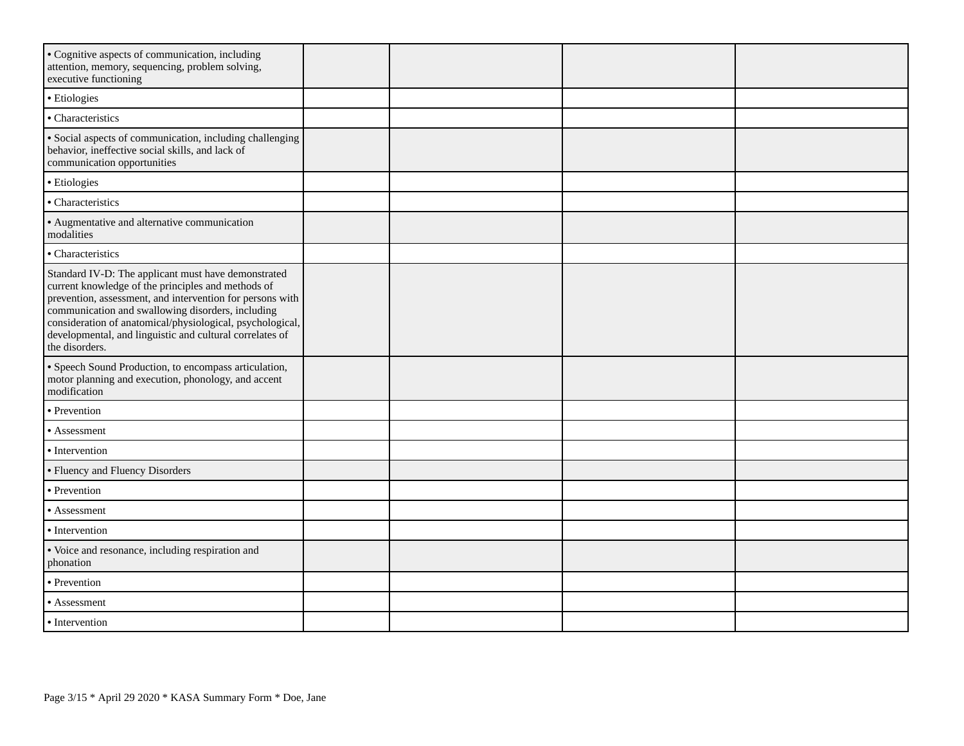| • Cognitive aspects of communication, including<br>attention, memory, sequencing, problem solving,<br>executive functioning                                                                                                                                                                                                                                            |  |  |
|------------------------------------------------------------------------------------------------------------------------------------------------------------------------------------------------------------------------------------------------------------------------------------------------------------------------------------------------------------------------|--|--|
| • Etiologies                                                                                                                                                                                                                                                                                                                                                           |  |  |
| · Characteristics                                                                                                                                                                                                                                                                                                                                                      |  |  |
| · Social aspects of communication, including challenging<br>behavior, ineffective social skills, and lack of<br>communication opportunities                                                                                                                                                                                                                            |  |  |
| · Etiologies                                                                                                                                                                                                                                                                                                                                                           |  |  |
| · Characteristics                                                                                                                                                                                                                                                                                                                                                      |  |  |
| • Augmentative and alternative communication<br>modalities                                                                                                                                                                                                                                                                                                             |  |  |
| · Characteristics                                                                                                                                                                                                                                                                                                                                                      |  |  |
| Standard IV-D: The applicant must have demonstrated<br>current knowledge of the principles and methods of<br>prevention, assessment, and intervention for persons with<br>communication and swallowing disorders, including<br>consideration of anatomical/physiological, psychological,<br>developmental, and linguistic and cultural correlates of<br>the disorders. |  |  |
| · Speech Sound Production, to encompass articulation,<br>motor planning and execution, phonology, and accent<br>modification                                                                                                                                                                                                                                           |  |  |
| • Prevention                                                                                                                                                                                                                                                                                                                                                           |  |  |
| • Assessment                                                                                                                                                                                                                                                                                                                                                           |  |  |
| • Intervention                                                                                                                                                                                                                                                                                                                                                         |  |  |
| • Fluency and Fluency Disorders                                                                                                                                                                                                                                                                                                                                        |  |  |
| • Prevention                                                                                                                                                                                                                                                                                                                                                           |  |  |
| • Assessment                                                                                                                                                                                                                                                                                                                                                           |  |  |
| • Intervention                                                                                                                                                                                                                                                                                                                                                         |  |  |
| · Voice and resonance, including respiration and<br>phonation                                                                                                                                                                                                                                                                                                          |  |  |
| • Prevention                                                                                                                                                                                                                                                                                                                                                           |  |  |
| • Assessment                                                                                                                                                                                                                                                                                                                                                           |  |  |
| • Intervention                                                                                                                                                                                                                                                                                                                                                         |  |  |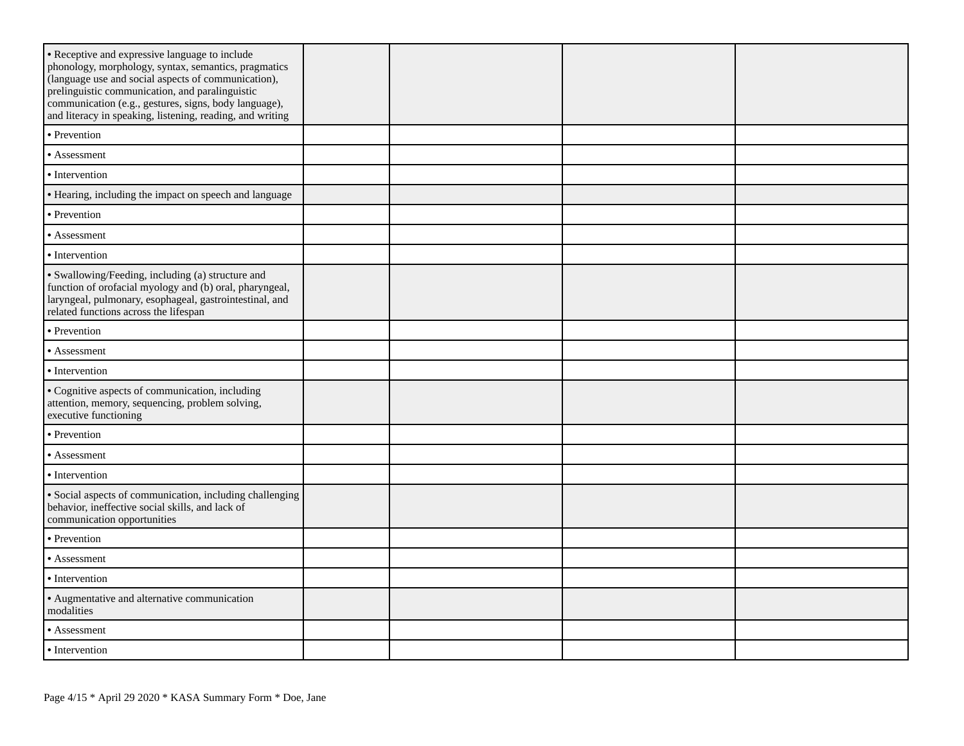| • Receptive and expressive language to include<br>phonology, morphology, syntax, semantics, pragmatics<br>(language use and social aspects of communication),<br>prelinguistic communication, and paralinguistic<br>communication (e.g., gestures, signs, body language),<br>and literacy in speaking, listening, reading, and writing |  |  |
|----------------------------------------------------------------------------------------------------------------------------------------------------------------------------------------------------------------------------------------------------------------------------------------------------------------------------------------|--|--|
| • Prevention                                                                                                                                                                                                                                                                                                                           |  |  |
| • Assessment                                                                                                                                                                                                                                                                                                                           |  |  |
| • Intervention                                                                                                                                                                                                                                                                                                                         |  |  |
| • Hearing, including the impact on speech and language                                                                                                                                                                                                                                                                                 |  |  |
| • Prevention                                                                                                                                                                                                                                                                                                                           |  |  |
| • Assessment                                                                                                                                                                                                                                                                                                                           |  |  |
| • Intervention                                                                                                                                                                                                                                                                                                                         |  |  |
| · Swallowing/Feeding, including (a) structure and<br>function of orofacial myology and (b) oral, pharyngeal,<br>laryngeal, pulmonary, esophageal, gastrointestinal, and<br>related functions across the lifespan                                                                                                                       |  |  |
| • Prevention                                                                                                                                                                                                                                                                                                                           |  |  |
| • Assessment                                                                                                                                                                                                                                                                                                                           |  |  |
| • Intervention                                                                                                                                                                                                                                                                                                                         |  |  |
| • Cognitive aspects of communication, including<br>attention, memory, sequencing, problem solving,<br>executive functioning                                                                                                                                                                                                            |  |  |
| • Prevention                                                                                                                                                                                                                                                                                                                           |  |  |
| • Assessment                                                                                                                                                                                                                                                                                                                           |  |  |
| • Intervention                                                                                                                                                                                                                                                                                                                         |  |  |
| · Social aspects of communication, including challenging<br>behavior, ineffective social skills, and lack of<br>communication opportunities                                                                                                                                                                                            |  |  |
| • Prevention                                                                                                                                                                                                                                                                                                                           |  |  |
| • Assessment                                                                                                                                                                                                                                                                                                                           |  |  |
| • Intervention                                                                                                                                                                                                                                                                                                                         |  |  |
| • Augmentative and alternative communication<br>modalities                                                                                                                                                                                                                                                                             |  |  |
| • Assessment                                                                                                                                                                                                                                                                                                                           |  |  |
| • Intervention                                                                                                                                                                                                                                                                                                                         |  |  |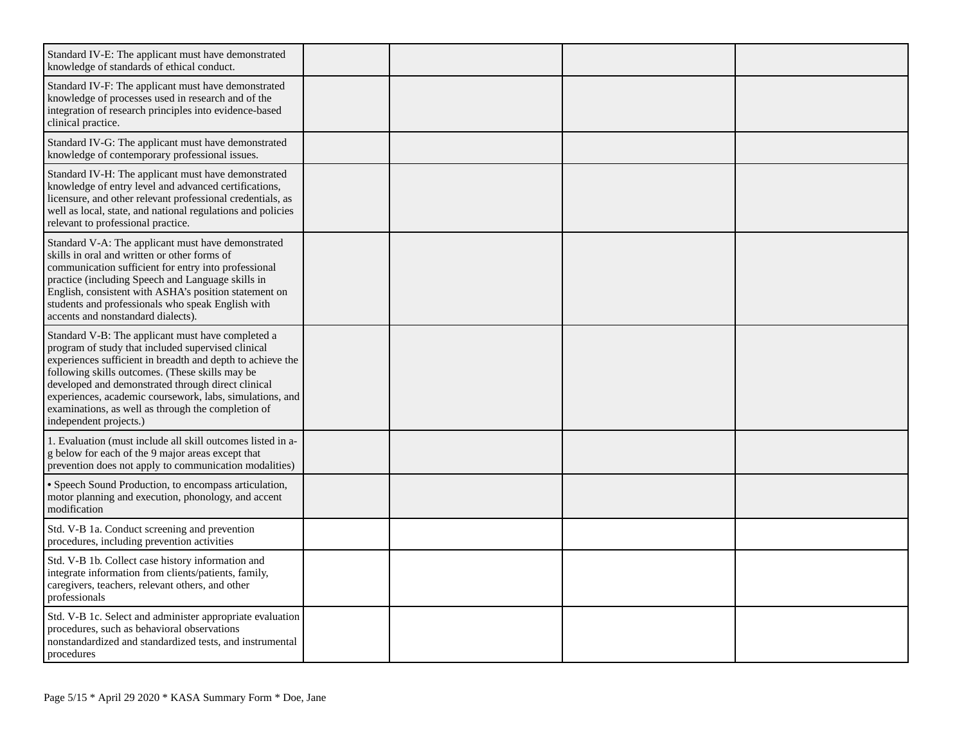| Standard IV-E: The applicant must have demonstrated<br>knowledge of standards of ethical conduct.                                                                                                                                                                                                                                                                                                                          |  |  |
|----------------------------------------------------------------------------------------------------------------------------------------------------------------------------------------------------------------------------------------------------------------------------------------------------------------------------------------------------------------------------------------------------------------------------|--|--|
| Standard IV-F: The applicant must have demonstrated<br>knowledge of processes used in research and of the<br>integration of research principles into evidence-based<br>clinical practice.                                                                                                                                                                                                                                  |  |  |
| Standard IV-G: The applicant must have demonstrated<br>knowledge of contemporary professional issues.                                                                                                                                                                                                                                                                                                                      |  |  |
| Standard IV-H: The applicant must have demonstrated<br>knowledge of entry level and advanced certifications,<br>licensure, and other relevant professional credentials, as<br>well as local, state, and national regulations and policies<br>relevant to professional practice.                                                                                                                                            |  |  |
| Standard V-A: The applicant must have demonstrated<br>skills in oral and written or other forms of<br>communication sufficient for entry into professional<br>practice (including Speech and Language skills in<br>English, consistent with ASHA's position statement on<br>students and professionals who speak English with<br>accents and nonstandard dialects).                                                        |  |  |
| Standard V-B: The applicant must have completed a<br>program of study that included supervised clinical<br>experiences sufficient in breadth and depth to achieve the<br>following skills outcomes. (These skills may be<br>developed and demonstrated through direct clinical<br>experiences, academic coursework, labs, simulations, and<br>examinations, as well as through the completion of<br>independent projects.) |  |  |
| 1. Evaluation (must include all skill outcomes listed in a-<br>g below for each of the 9 major areas except that<br>prevention does not apply to communication modalities)                                                                                                                                                                                                                                                 |  |  |
| • Speech Sound Production, to encompass articulation,<br>motor planning and execution, phonology, and accent<br>modification                                                                                                                                                                                                                                                                                               |  |  |
| Std. V-B 1a. Conduct screening and prevention<br>procedures, including prevention activities                                                                                                                                                                                                                                                                                                                               |  |  |
| Std. V-B 1b. Collect case history information and<br>integrate information from clients/patients, family,<br>caregivers, teachers, relevant others, and other<br>professionals                                                                                                                                                                                                                                             |  |  |
| Std. V-B 1c. Select and administer appropriate evaluation<br>procedures, such as behavioral observations<br>nonstandardized and standardized tests, and instrumental<br>procedures                                                                                                                                                                                                                                         |  |  |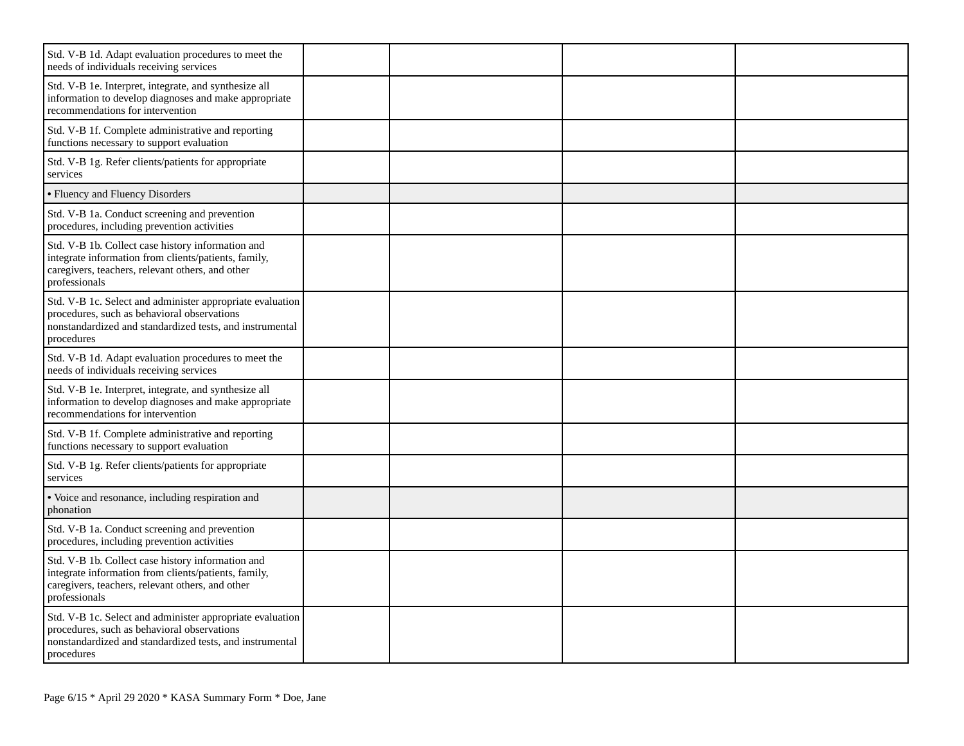| Std. V-B 1d. Adapt evaluation procedures to meet the<br>needs of individuals receiving services                                                                                    |  |  |
|------------------------------------------------------------------------------------------------------------------------------------------------------------------------------------|--|--|
| Std. V-B 1e. Interpret, integrate, and synthesize all<br>information to develop diagnoses and make appropriate<br>recommendations for intervention                                 |  |  |
| Std. V-B 1f. Complete administrative and reporting<br>functions necessary to support evaluation                                                                                    |  |  |
| Std. V-B 1g. Refer clients/patients for appropriate<br>services                                                                                                                    |  |  |
| • Fluency and Fluency Disorders                                                                                                                                                    |  |  |
| Std. V-B 1a. Conduct screening and prevention<br>procedures, including prevention activities                                                                                       |  |  |
| Std. V-B 1b. Collect case history information and<br>integrate information from clients/patients, family,<br>caregivers, teachers, relevant others, and other<br>professionals     |  |  |
| Std. V-B 1c. Select and administer appropriate evaluation<br>procedures, such as behavioral observations<br>nonstandardized and standardized tests, and instrumental<br>procedures |  |  |
| Std. V-B 1d. Adapt evaluation procedures to meet the<br>needs of individuals receiving services                                                                                    |  |  |
| Std. V-B 1e. Interpret, integrate, and synthesize all<br>information to develop diagnoses and make appropriate<br>recommendations for intervention                                 |  |  |
| Std. V-B 1f. Complete administrative and reporting<br>functions necessary to support evaluation                                                                                    |  |  |
| Std. V-B 1g. Refer clients/patients for appropriate<br>services                                                                                                                    |  |  |
| · Voice and resonance, including respiration and<br>phonation                                                                                                                      |  |  |
| Std. V-B 1a. Conduct screening and prevention<br>procedures, including prevention activities                                                                                       |  |  |
| Std. V-B 1b. Collect case history information and<br>integrate information from clients/patients, family,<br>caregivers, teachers, relevant others, and other<br>professionals     |  |  |
| Std. V-B 1c. Select and administer appropriate evaluation<br>procedures, such as behavioral observations<br>nonstandardized and standardized tests, and instrumental<br>procedures |  |  |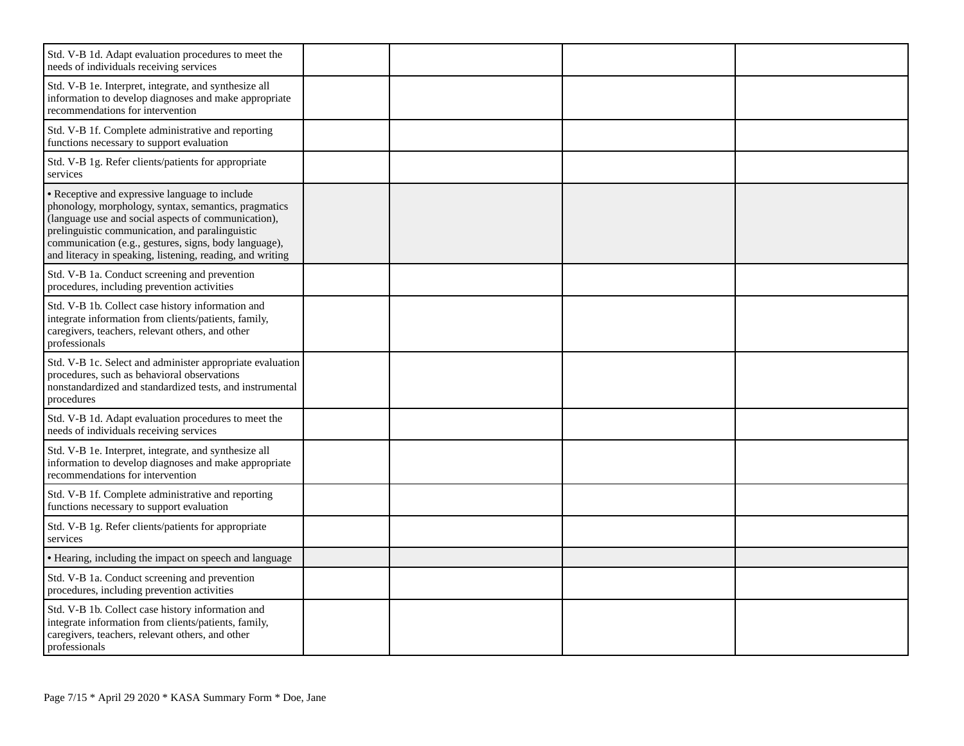| Std. V-B 1d. Adapt evaluation procedures to meet the<br>needs of individuals receiving services                                                                                                                                                                                                                                        |  |  |
|----------------------------------------------------------------------------------------------------------------------------------------------------------------------------------------------------------------------------------------------------------------------------------------------------------------------------------------|--|--|
| Std. V-B 1e. Interpret, integrate, and synthesize all<br>information to develop diagnoses and make appropriate<br>recommendations for intervention                                                                                                                                                                                     |  |  |
| Std. V-B 1f. Complete administrative and reporting<br>functions necessary to support evaluation                                                                                                                                                                                                                                        |  |  |
| Std. V-B 1g. Refer clients/patients for appropriate<br>services                                                                                                                                                                                                                                                                        |  |  |
| • Receptive and expressive language to include<br>phonology, morphology, syntax, semantics, pragmatics<br>(language use and social aspects of communication),<br>prelinguistic communication, and paralinguistic<br>communication (e.g., gestures, signs, body language),<br>and literacy in speaking, listening, reading, and writing |  |  |
| Std. V-B 1a. Conduct screening and prevention<br>procedures, including prevention activities                                                                                                                                                                                                                                           |  |  |
| Std. V-B 1b. Collect case history information and<br>integrate information from clients/patients, family,<br>caregivers, teachers, relevant others, and other<br>professionals                                                                                                                                                         |  |  |
| Std. V-B 1c. Select and administer appropriate evaluation<br>procedures, such as behavioral observations<br>nonstandardized and standardized tests, and instrumental<br>procedures                                                                                                                                                     |  |  |
| Std. V-B 1d. Adapt evaluation procedures to meet the<br>needs of individuals receiving services                                                                                                                                                                                                                                        |  |  |
| Std. V-B 1e. Interpret, integrate, and synthesize all<br>information to develop diagnoses and make appropriate<br>recommendations for intervention                                                                                                                                                                                     |  |  |
| Std. V-B 1f. Complete administrative and reporting<br>functions necessary to support evaluation                                                                                                                                                                                                                                        |  |  |
| Std. V-B 1g. Refer clients/patients for appropriate<br>services                                                                                                                                                                                                                                                                        |  |  |
| • Hearing, including the impact on speech and language                                                                                                                                                                                                                                                                                 |  |  |
| Std. V-B 1a. Conduct screening and prevention<br>procedures, including prevention activities                                                                                                                                                                                                                                           |  |  |
| Std. V-B 1b. Collect case history information and<br>integrate information from clients/patients, family,<br>caregivers, teachers, relevant others, and other<br>professionals                                                                                                                                                         |  |  |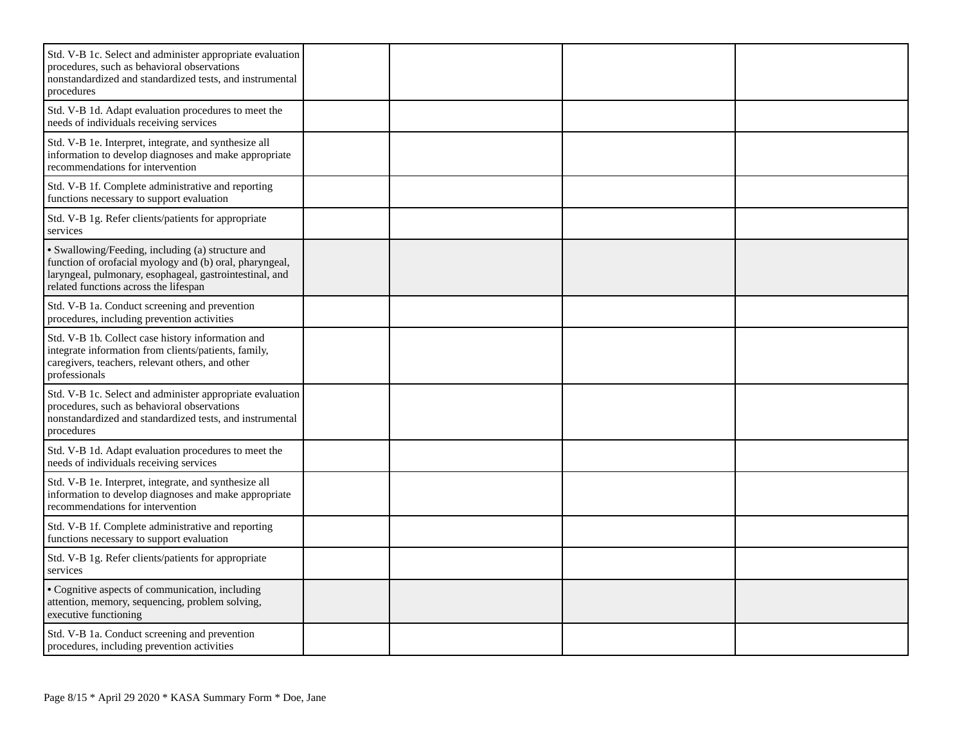| Std. V-B 1c. Select and administer appropriate evaluation<br>procedures, such as behavioral observations<br>nonstandardized and standardized tests, and instrumental<br>procedures                               |  |  |
|------------------------------------------------------------------------------------------------------------------------------------------------------------------------------------------------------------------|--|--|
| Std. V-B 1d. Adapt evaluation procedures to meet the<br>needs of individuals receiving services                                                                                                                  |  |  |
| Std. V-B 1e. Interpret, integrate, and synthesize all<br>information to develop diagnoses and make appropriate<br>recommendations for intervention                                                               |  |  |
| Std. V-B 1f. Complete administrative and reporting<br>functions necessary to support evaluation                                                                                                                  |  |  |
| Std. V-B 1g. Refer clients/patients for appropriate<br>services                                                                                                                                                  |  |  |
| · Swallowing/Feeding, including (a) structure and<br>function of orofacial myology and (b) oral, pharyngeal,<br>laryngeal, pulmonary, esophageal, gastrointestinal, and<br>related functions across the lifespan |  |  |
| Std. V-B 1a. Conduct screening and prevention<br>procedures, including prevention activities                                                                                                                     |  |  |
| Std. V-B 1b. Collect case history information and<br>integrate information from clients/patients, family,<br>caregivers, teachers, relevant others, and other<br>professionals                                   |  |  |
| Std. V-B 1c. Select and administer appropriate evaluation<br>procedures, such as behavioral observations<br>nonstandardized and standardized tests, and instrumental<br>procedures                               |  |  |
| Std. V-B 1d. Adapt evaluation procedures to meet the<br>needs of individuals receiving services                                                                                                                  |  |  |
| Std. V-B 1e. Interpret, integrate, and synthesize all<br>information to develop diagnoses and make appropriate<br>recommendations for intervention                                                               |  |  |
| Std. V-B 1f. Complete administrative and reporting<br>functions necessary to support evaluation                                                                                                                  |  |  |
| Std. V-B 1g. Refer clients/patients for appropriate<br>services                                                                                                                                                  |  |  |
| • Cognitive aspects of communication, including<br>attention, memory, sequencing, problem solving,<br>executive functioning                                                                                      |  |  |
| Std. V-B 1a. Conduct screening and prevention<br>procedures, including prevention activities                                                                                                                     |  |  |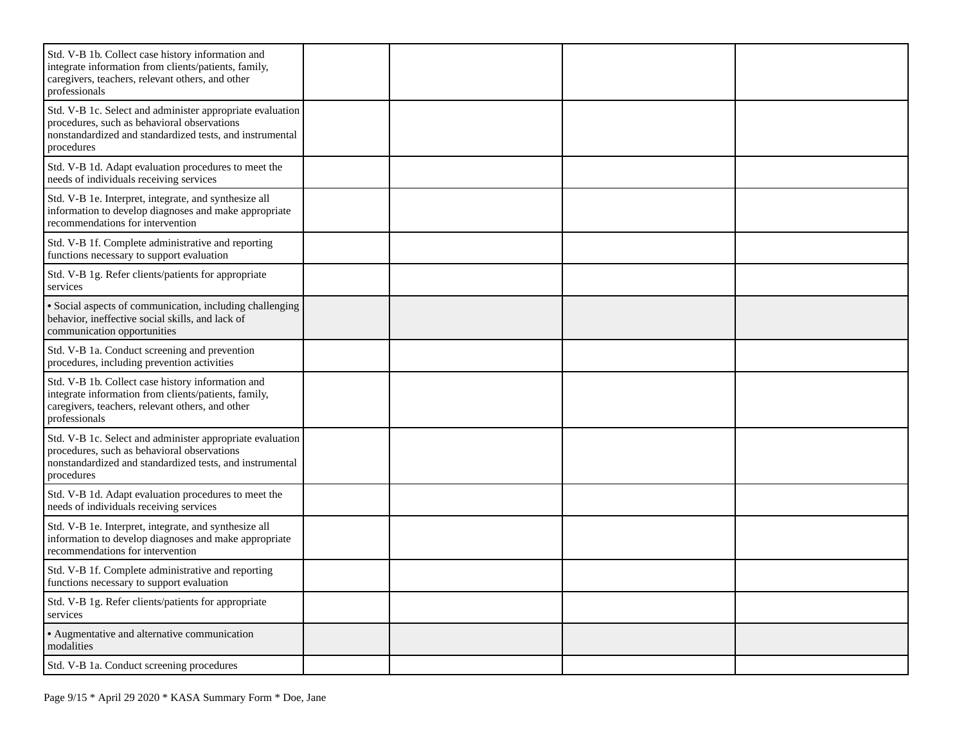| Std. V-B 1b. Collect case history information and<br>integrate information from clients/patients, family,<br>caregivers, teachers, relevant others, and other<br>professionals     |  |  |
|------------------------------------------------------------------------------------------------------------------------------------------------------------------------------------|--|--|
| Std. V-B 1c. Select and administer appropriate evaluation<br>procedures, such as behavioral observations<br>nonstandardized and standardized tests, and instrumental<br>procedures |  |  |
| Std. V-B 1d. Adapt evaluation procedures to meet the<br>needs of individuals receiving services                                                                                    |  |  |
| Std. V-B 1e. Interpret, integrate, and synthesize all<br>information to develop diagnoses and make appropriate<br>recommendations for intervention                                 |  |  |
| Std. V-B 1f. Complete administrative and reporting<br>functions necessary to support evaluation                                                                                    |  |  |
| Std. V-B 1g. Refer clients/patients for appropriate<br>services                                                                                                                    |  |  |
| · Social aspects of communication, including challenging<br>behavior, ineffective social skills, and lack of<br>communication opportunities                                        |  |  |
| Std. V-B 1a. Conduct screening and prevention<br>procedures, including prevention activities                                                                                       |  |  |
| Std. V-B 1b. Collect case history information and<br>integrate information from clients/patients, family,<br>caregivers, teachers, relevant others, and other<br>professionals     |  |  |
| Std. V-B 1c. Select and administer appropriate evaluation<br>procedures, such as behavioral observations<br>nonstandardized and standardized tests, and instrumental<br>procedures |  |  |
| Std. V-B 1d. Adapt evaluation procedures to meet the<br>needs of individuals receiving services                                                                                    |  |  |
| Std. V-B 1e. Interpret, integrate, and synthesize all<br>information to develop diagnoses and make appropriate<br>recommendations for intervention                                 |  |  |
| Std. V-B 1f. Complete administrative and reporting<br>functions necessary to support evaluation                                                                                    |  |  |
| Std. V-B 1g. Refer clients/patients for appropriate<br>services                                                                                                                    |  |  |
| • Augmentative and alternative communication<br>modalities                                                                                                                         |  |  |
| Std. V-B 1a. Conduct screening procedures                                                                                                                                          |  |  |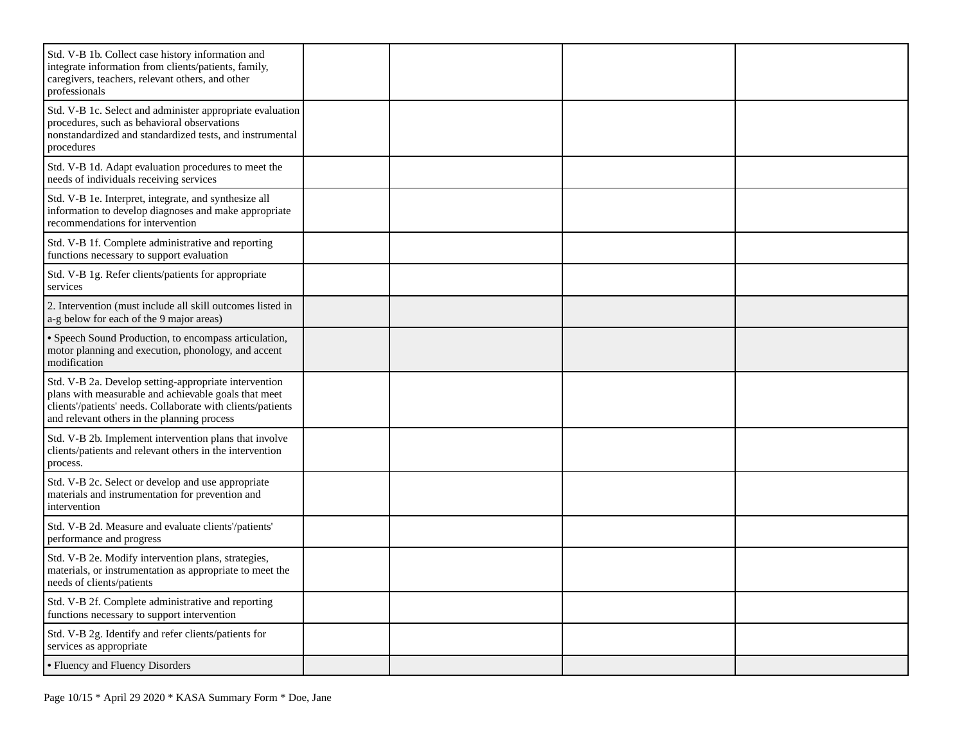| Std. V-B 1b. Collect case history information and<br>integrate information from clients/patients, family,<br>caregivers, teachers, relevant others, and other<br>professionals                                              |  |  |
|-----------------------------------------------------------------------------------------------------------------------------------------------------------------------------------------------------------------------------|--|--|
| Std. V-B 1c. Select and administer appropriate evaluation<br>procedures, such as behavioral observations<br>nonstandardized and standardized tests, and instrumental<br>procedures                                          |  |  |
| Std. V-B 1d. Adapt evaluation procedures to meet the<br>needs of individuals receiving services                                                                                                                             |  |  |
| Std. V-B 1e. Interpret, integrate, and synthesize all<br>information to develop diagnoses and make appropriate<br>recommendations for intervention                                                                          |  |  |
| Std. V-B 1f. Complete administrative and reporting<br>functions necessary to support evaluation                                                                                                                             |  |  |
| Std. V-B 1g. Refer clients/patients for appropriate<br>services                                                                                                                                                             |  |  |
| 2. Intervention (must include all skill outcomes listed in<br>a-g below for each of the 9 major areas)                                                                                                                      |  |  |
| • Speech Sound Production, to encompass articulation,<br>motor planning and execution, phonology, and accent<br>modification                                                                                                |  |  |
| Std. V-B 2a. Develop setting-appropriate intervention<br>plans with measurable and achievable goals that meet<br>clients'/patients' needs. Collaborate with clients/patients<br>and relevant others in the planning process |  |  |
| Std. V-B 2b. Implement intervention plans that involve<br>clients/patients and relevant others in the intervention<br>process.                                                                                              |  |  |
| Std. V-B 2c. Select or develop and use appropriate<br>materials and instrumentation for prevention and<br>intervention                                                                                                      |  |  |
| Std. V-B 2d. Measure and evaluate clients'/patients'<br>performance and progress                                                                                                                                            |  |  |
| Std. V-B 2e. Modify intervention plans, strategies,<br>materials, or instrumentation as appropriate to meet the<br>needs of clients/patients                                                                                |  |  |
| Std. V-B 2f. Complete administrative and reporting<br>functions necessary to support intervention                                                                                                                           |  |  |
| Std. V-B 2g. Identify and refer clients/patients for<br>services as appropriate                                                                                                                                             |  |  |
| • Fluency and Fluency Disorders                                                                                                                                                                                             |  |  |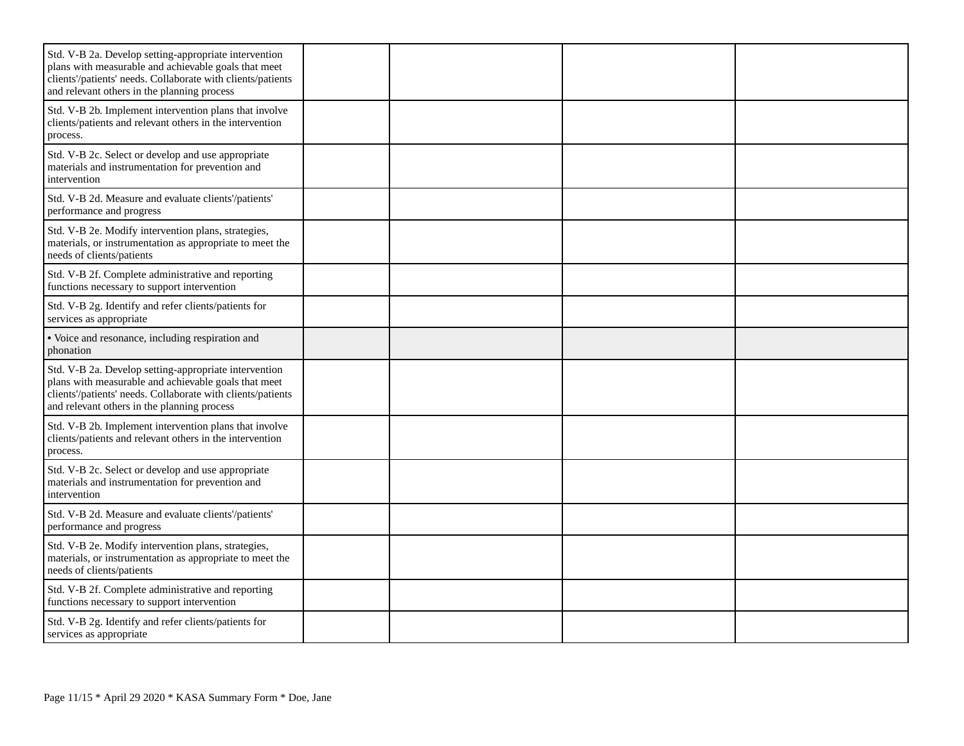| Std. V-B 2a. Develop setting-appropriate intervention<br>plans with measurable and achievable goals that meet<br>clients'/patients' needs. Collaborate with clients/patients<br>and relevant others in the planning process |  |  |
|-----------------------------------------------------------------------------------------------------------------------------------------------------------------------------------------------------------------------------|--|--|
| Std. V-B 2b. Implement intervention plans that involve<br>clients/patients and relevant others in the intervention<br>process.                                                                                              |  |  |
| Std. V-B 2c. Select or develop and use appropriate<br>materials and instrumentation for prevention and<br>intervention                                                                                                      |  |  |
| Std. V-B 2d. Measure and evaluate clients'/patients'<br>performance and progress                                                                                                                                            |  |  |
| Std. V-B 2e. Modify intervention plans, strategies,<br>materials, or instrumentation as appropriate to meet the<br>needs of clients/patients                                                                                |  |  |
| Std. V-B 2f. Complete administrative and reporting<br>functions necessary to support intervention                                                                                                                           |  |  |
| Std. V-B 2g. Identify and refer clients/patients for<br>services as appropriate                                                                                                                                             |  |  |
| • Voice and resonance, including respiration and<br>phonation                                                                                                                                                               |  |  |
| Std. V-B 2a. Develop setting-appropriate intervention<br>plans with measurable and achievable goals that meet<br>clients'/patients' needs. Collaborate with clients/patients<br>and relevant others in the planning process |  |  |
| Std. V-B 2b. Implement intervention plans that involve<br>clients/patients and relevant others in the intervention<br>process.                                                                                              |  |  |
| Std. V-B 2c. Select or develop and use appropriate<br>materials and instrumentation for prevention and<br>intervention                                                                                                      |  |  |
| Std. V-B 2d. Measure and evaluate clients'/patients'<br>performance and progress                                                                                                                                            |  |  |
| Std. V-B 2e. Modify intervention plans, strategies,<br>materials, or instrumentation as appropriate to meet the<br>needs of clients/patients                                                                                |  |  |
| Std. V-B 2f. Complete administrative and reporting<br>functions necessary to support intervention                                                                                                                           |  |  |
| Std. V-B 2g. Identify and refer clients/patients for<br>services as appropriate                                                                                                                                             |  |  |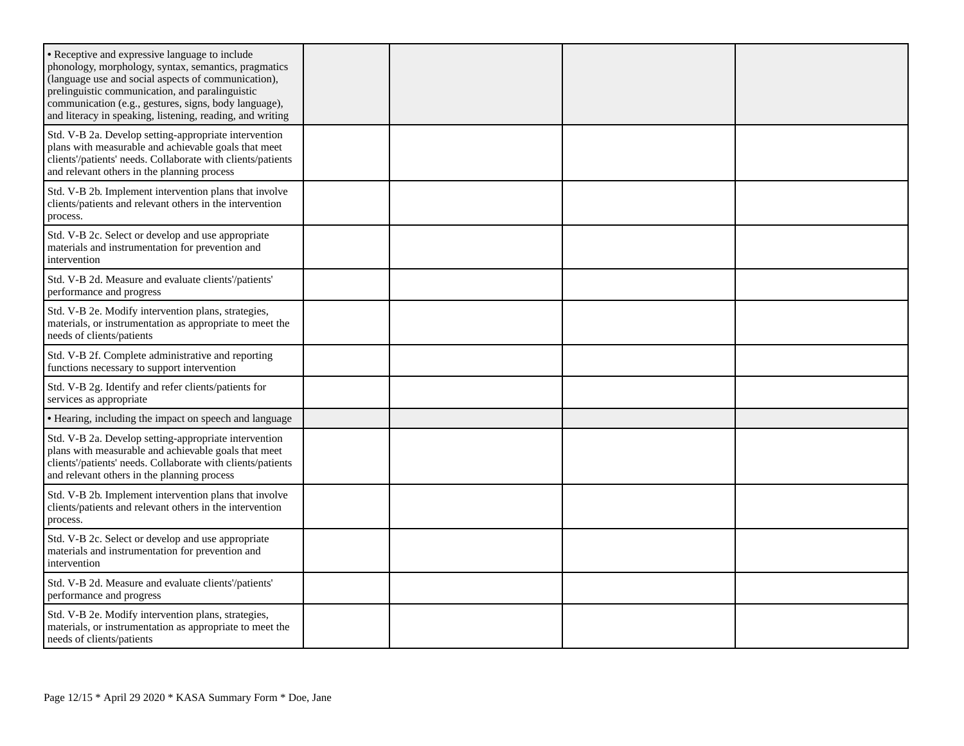| • Receptive and expressive language to include<br>phonology, morphology, syntax, semantics, pragmatics<br>(language use and social aspects of communication),<br>prelinguistic communication, and paralinguistic<br>communication (e.g., gestures, signs, body language),<br>and literacy in speaking, listening, reading, and writing |  |  |
|----------------------------------------------------------------------------------------------------------------------------------------------------------------------------------------------------------------------------------------------------------------------------------------------------------------------------------------|--|--|
| Std. V-B 2a. Develop setting-appropriate intervention<br>plans with measurable and achievable goals that meet<br>clients'/patients' needs. Collaborate with clients/patients<br>and relevant others in the planning process                                                                                                            |  |  |
| Std. V-B 2b. Implement intervention plans that involve<br>clients/patients and relevant others in the intervention<br>process.                                                                                                                                                                                                         |  |  |
| Std. V-B 2c. Select or develop and use appropriate<br>materials and instrumentation for prevention and<br>intervention                                                                                                                                                                                                                 |  |  |
| Std. V-B 2d. Measure and evaluate clients'/patients'<br>performance and progress                                                                                                                                                                                                                                                       |  |  |
| Std. V-B 2e. Modify intervention plans, strategies,<br>materials, or instrumentation as appropriate to meet the<br>needs of clients/patients                                                                                                                                                                                           |  |  |
| Std. V-B 2f. Complete administrative and reporting<br>functions necessary to support intervention                                                                                                                                                                                                                                      |  |  |
| Std. V-B 2g. Identify and refer clients/patients for<br>services as appropriate                                                                                                                                                                                                                                                        |  |  |
| • Hearing, including the impact on speech and language                                                                                                                                                                                                                                                                                 |  |  |
| Std. V-B 2a. Develop setting-appropriate intervention<br>plans with measurable and achievable goals that meet<br>clients'/patients' needs. Collaborate with clients/patients<br>and relevant others in the planning process                                                                                                            |  |  |
| Std. V-B 2b. Implement intervention plans that involve<br>clients/patients and relevant others in the intervention<br>process.                                                                                                                                                                                                         |  |  |
| Std. V-B 2c. Select or develop and use appropriate<br>materials and instrumentation for prevention and<br>intervention                                                                                                                                                                                                                 |  |  |
| Std. V-B 2d. Measure and evaluate clients'/patients'<br>performance and progress                                                                                                                                                                                                                                                       |  |  |
| Std. V-B 2e. Modify intervention plans, strategies,<br>materials, or instrumentation as appropriate to meet the<br>needs of clients/patients                                                                                                                                                                                           |  |  |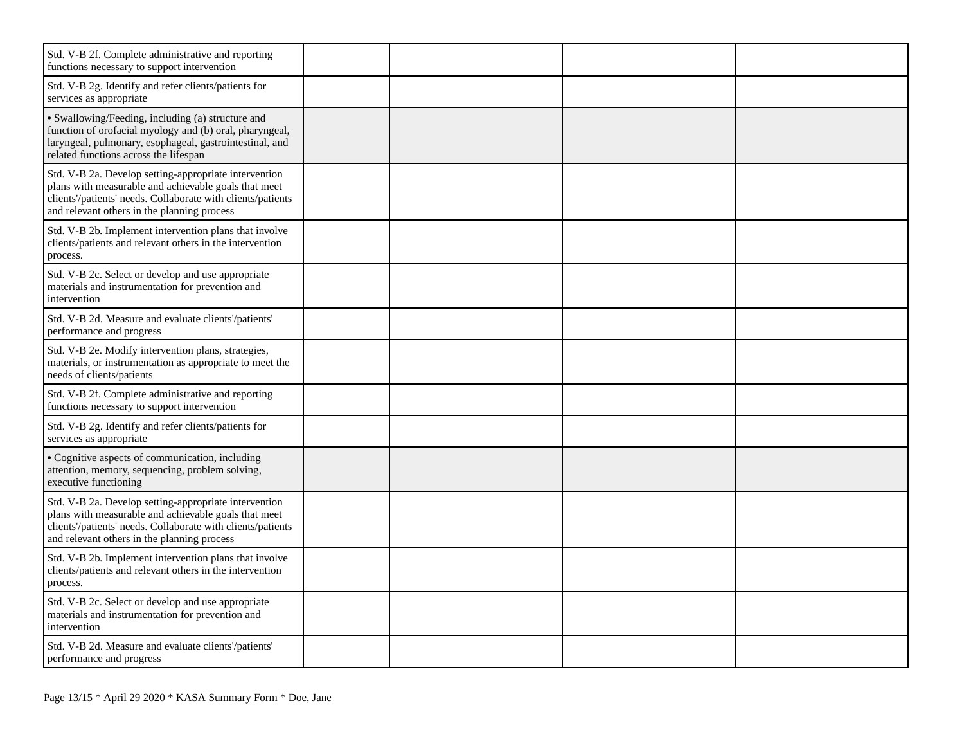| Std. V-B 2f. Complete administrative and reporting<br>functions necessary to support intervention                                                                                                                           |  |  |
|-----------------------------------------------------------------------------------------------------------------------------------------------------------------------------------------------------------------------------|--|--|
| Std. V-B 2g. Identify and refer clients/patients for<br>services as appropriate                                                                                                                                             |  |  |
| · Swallowing/Feeding, including (a) structure and<br>function of orofacial myology and (b) oral, pharyngeal,<br>laryngeal, pulmonary, esophageal, gastrointestinal, and<br>related functions across the lifespan            |  |  |
| Std. V-B 2a. Develop setting-appropriate intervention<br>plans with measurable and achievable goals that meet<br>clients'/patients' needs. Collaborate with clients/patients<br>and relevant others in the planning process |  |  |
| Std. V-B 2b. Implement intervention plans that involve<br>clients/patients and relevant others in the intervention<br>process.                                                                                              |  |  |
| Std. V-B 2c. Select or develop and use appropriate<br>materials and instrumentation for prevention and<br>intervention                                                                                                      |  |  |
| Std. V-B 2d. Measure and evaluate clients'/patients'<br>performance and progress                                                                                                                                            |  |  |
| Std. V-B 2e. Modify intervention plans, strategies,<br>materials, or instrumentation as appropriate to meet the<br>needs of clients/patients                                                                                |  |  |
| Std. V-B 2f. Complete administrative and reporting<br>functions necessary to support intervention                                                                                                                           |  |  |
| Std. V-B 2g. Identify and refer clients/patients for<br>services as appropriate                                                                                                                                             |  |  |
| • Cognitive aspects of communication, including<br>attention, memory, sequencing, problem solving,<br>executive functioning                                                                                                 |  |  |
| Std. V-B 2a. Develop setting-appropriate intervention<br>plans with measurable and achievable goals that meet<br>clients'/patients' needs. Collaborate with clients/patients<br>and relevant others in the planning process |  |  |
| Std. V-B 2b. Implement intervention plans that involve<br>clients/patients and relevant others in the intervention<br>process.                                                                                              |  |  |
| Std. V-B 2c. Select or develop and use appropriate<br>materials and instrumentation for prevention and<br>intervention                                                                                                      |  |  |
| Std. V-B 2d. Measure and evaluate clients'/patients'<br>performance and progress                                                                                                                                            |  |  |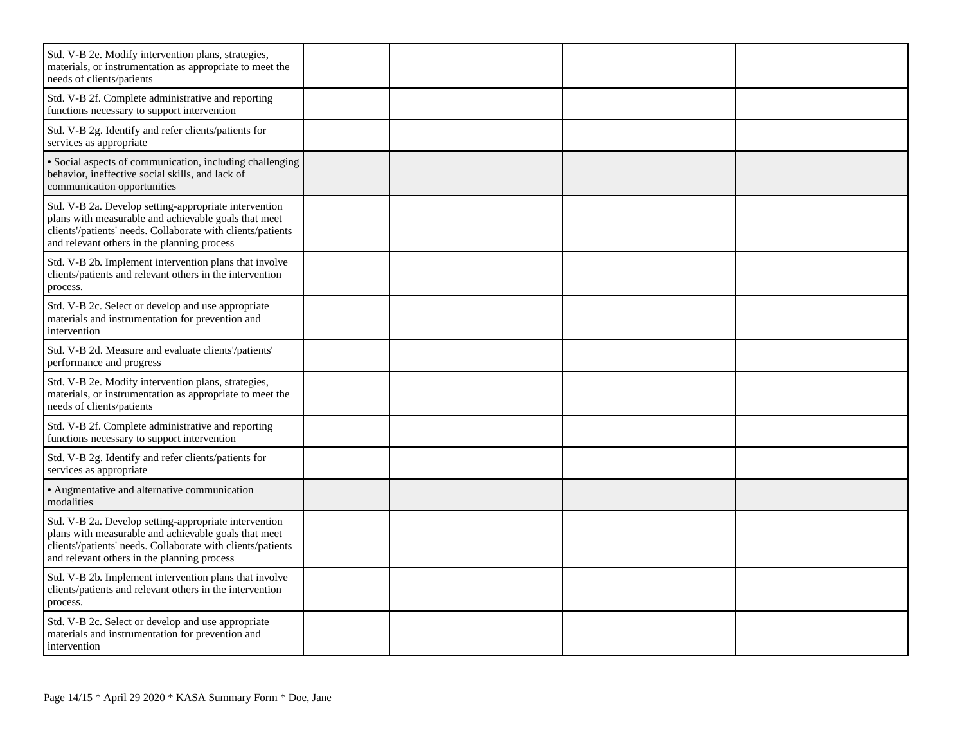| Std. V-B 2e. Modify intervention plans, strategies,<br>materials, or instrumentation as appropriate to meet the<br>needs of clients/patients                                                                                |  |  |
|-----------------------------------------------------------------------------------------------------------------------------------------------------------------------------------------------------------------------------|--|--|
| Std. V-B 2f. Complete administrative and reporting<br>functions necessary to support intervention                                                                                                                           |  |  |
| Std. V-B 2g. Identify and refer clients/patients for<br>services as appropriate                                                                                                                                             |  |  |
| · Social aspects of communication, including challenging<br>behavior, ineffective social skills, and lack of<br>communication opportunities                                                                                 |  |  |
| Std. V-B 2a. Develop setting-appropriate intervention<br>plans with measurable and achievable goals that meet<br>clients'/patients' needs. Collaborate with clients/patients<br>and relevant others in the planning process |  |  |
| Std. V-B 2b. Implement intervention plans that involve<br>clients/patients and relevant others in the intervention<br>process.                                                                                              |  |  |
| Std. V-B 2c. Select or develop and use appropriate<br>materials and instrumentation for prevention and<br>intervention                                                                                                      |  |  |
| Std. V-B 2d. Measure and evaluate clients'/patients'<br>performance and progress                                                                                                                                            |  |  |
| Std. V-B 2e. Modify intervention plans, strategies,<br>materials, or instrumentation as appropriate to meet the<br>needs of clients/patients                                                                                |  |  |
| Std. V-B 2f. Complete administrative and reporting<br>functions necessary to support intervention                                                                                                                           |  |  |
| Std. V-B 2g. Identify and refer clients/patients for<br>services as appropriate                                                                                                                                             |  |  |
| • Augmentative and alternative communication<br>modalities                                                                                                                                                                  |  |  |
| Std. V-B 2a. Develop setting-appropriate intervention<br>plans with measurable and achievable goals that meet<br>clients'/patients' needs. Collaborate with clients/patients<br>and relevant others in the planning process |  |  |
| Std. V-B 2b. Implement intervention plans that involve<br>clients/patients and relevant others in the intervention<br>process.                                                                                              |  |  |
| Std. V-B 2c. Select or develop and use appropriate<br>materials and instrumentation for prevention and<br>intervention                                                                                                      |  |  |